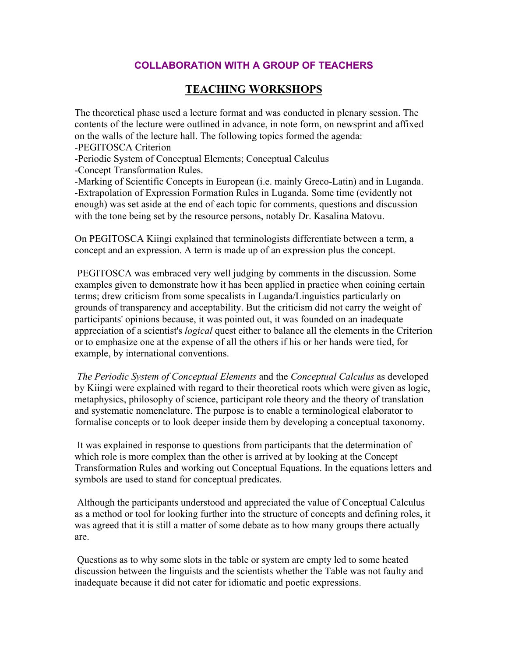# **COLLABORATION WITH A GROUP OF TEACHERS**

# **TEACHING WORKSHOPS**

The theoretical phase used a lecture format and was conducted in plenary session. The contents of the lecture were outlined in advance, in note form, on newsprint and affixed on the walls of the lecture hall. The following topics formed the agenda: -PEGITOSCA Criterion

-Periodic System of Conceptual Elements; Conceptual Calculus -Concept Transformation Rules.

-Marking of Scientific Concepts in European (i.e. mainly Greco-Latin) and in Luganda. -Extrapolation of Expression Formation Rules in Luganda. Some time (evidently not enough) was set aside at the end of each topic for comments, questions and discussion with the tone being set by the resource persons, notably Dr. Kasalina Matovu.

On PEGITOSCA Kiingi explained that terminologists differentiate between a term, a concept and an expression. A term is made up of an expression plus the concept.

 PEGITOSCA was embraced very well judging by comments in the discussion. Some examples given to demonstrate how it has been applied in practice when coining certain terms; drew criticism from some specalists in Luganda/Linguistics particularly on grounds of transparency and acceptability. But the criticism did not carry the weight of participants' opinions because, it was pointed out, it was founded on an inadequate appreciation of a scientist's *logical* quest either to balance all the elements in the Criterion or to emphasize one at the expense of all the others if his or her hands were tied, for example, by international conventions.

*The Periodic System of Conceptual Elements* and the *Conceptual Calculus* as developed by Kiingi were explained with regard to their theoretical roots which were given as logic, metaphysics, philosophy of science, participant role theory and the theory of translation and systematic nomenclature. The purpose is to enable a terminological elaborator to formalise concepts or to look deeper inside them by developing a conceptual taxonomy.

 It was explained in response to questions from participants that the determination of which role is more complex than the other is arrived at by looking at the Concept Transformation Rules and working out Conceptual Equations. In the equations letters and symbols are used to stand for conceptual predicates.

 Although the participants understood and appreciated the value of Conceptual Calculus as a method or tool for looking further into the structure of concepts and defining roles, it was agreed that it is still a matter of some debate as to how many groups there actually are.

 Questions as to why some slots in the table or system are empty led to some heated discussion between the linguists and the scientists whether the Table was not faulty and inadequate because it did not cater for idiomatic and poetic expressions.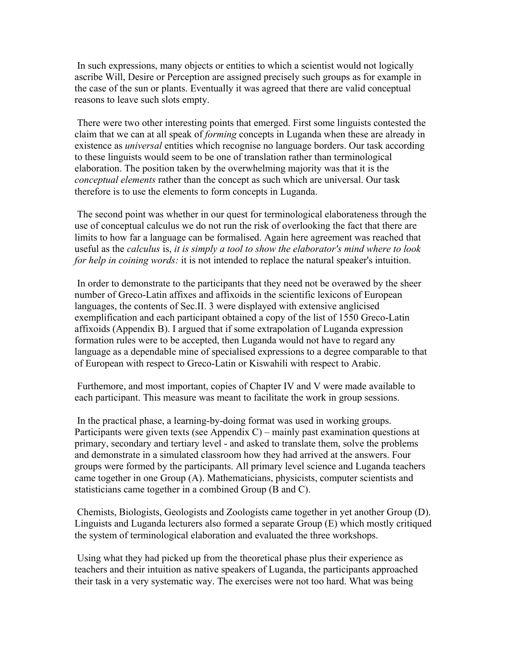In such expressions, many objects or entities to which a scientist would not logically ascribe Will, Desire or Perception are assigned precisely such groups as for example in the case of the sun or plants. Eventually it was agreed that there are valid conceptual reasons to leave such slots empty.

 There were two other interesting points that emerged. First some linguists contested the claim that we can at all speak of *forming* concepts in Luganda when these are already in existence as *universal* entities which recognise no language borders. Our task according to these linguists would seem to be one of translation rather than terminological elaboration. The position taken by the overwhelming majority was that it is the *conceptual elements* rather than the concept as such which are universal. Our task therefore is to use the elements to form concepts in Luganda.

 The second point was whether in our quest for terminological elaborateness through the use of conceptual calculus we do not run the risk of overlooking the fact that there are limits to how far a language can be formalised. Again here agreement was reached that useful as the *calculus* is, *it is simply a tool to show the elaborator's mind where to look for help in coining words:* it is not intended to replace the natural speaker's intuition.

 In order to demonstrate to the participants that they need not be overawed by the sheer number of Greco-Latin affixes and affixoids in the scientific lexicons of European languages, the contents of Sec.II. 3 were displayed with extensive anglicised exemplification and each participant obtained a copy of the list of 1550 Greco-Latin affixoids (Appendix B). I argued that if some extrapolation of Luganda expression formation rules were to be accepted, then Luganda would not have to regard any language as a dependable mine of specialised expressions to a degree comparable to that of European with respect to Greco-Latin or Kiswahili with respect to Arabic.

 Furthemore, and most important, copies of Chapter IV and V were made available to each participant. This measure was meant to facilitate the work in group sessions.

 In the practical phase, a learning-by-doing format was used in working groups. Participants were given texts (see Appendix C) – mainly past examination questions at primary, secondary and tertiary level - and asked to translate them, solve the problems and demonstrate in a simulated classroom how they had arrived at the answers. Four groups were formed by the participants. All primary level science and Luganda teachers came together in one Group (A). Mathematicians, physicists, computer scientists and statisticians came together in a combined Group (B and C).

 Chemists, Biologists, Geologists and Zoologists came together in yet another Group (D). Linguists and Luganda lecturers also formed a separate Group (E) which mostly critiqued the system of terminological elaboration and evaluated the three workshops.

 Using what they had picked up from the theoretical phase plus their experience as teachers and their intuition as native speakers of Luganda, the participants approached their task in a very systematic way. The exercises were not too hard. What was being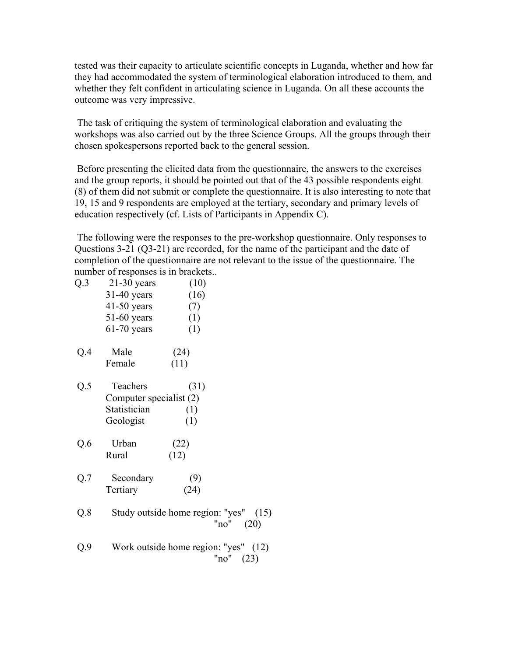tested was their capacity to articulate scientific concepts in Luganda, whether and how far they had accommodated the system of terminological elaboration introduced to them, and whether they felt confident in articulating science in Luganda. On all these accounts the outcome was very impressive.

 The task of critiquing the system of terminological elaboration and evaluating the workshops was also carried out by the three Science Groups. All the groups through their chosen spokespersons reported back to the general session.

 Before presenting the elicited data from the questionnaire, the answers to the exercises and the group reports, it should be pointed out that of the 43 possible respondents eight (8) of them did not submit or complete the questionnaire. It is also interesting to note that 19, 15 and 9 respondents are employed at the tertiary, secondary and primary levels of education respectively (cf. Lists of Participants in Appendix C).

 The following were the responses to the pre-workshop questionnaire. Only responses to Questions 3-21 (Q3-21) are recorded, for the name of the participant and the date of completion of the questionnaire are not relevant to the issue of the questionnaire. The number of responses is in brackets..

| Q.3 | $21-30$ years<br>$31-40$ years<br>$41-50$ years<br>51-60 years<br>$61-70$ years | (10)<br>(16)<br>(7)<br>(1)<br>(1) |             |
|-----|---------------------------------------------------------------------------------|-----------------------------------|-------------|
| Q.4 | Male<br>(24)<br>Female<br>(11)                                                  |                                   |             |
| Q.5 | Teachers<br>Computer specialist (2)<br>Statistician<br>Geologist                | (31)<br>(1)<br>(1)                |             |
| Q.6 | Urban<br>(22)<br>(12)<br>Rural                                                  |                                   |             |
| Q.7 | Secondary<br>Tertiary                                                           | (9)<br>(24)                       |             |
| Q.8 | Study outside home region: "yes" (15)                                           |                                   | "no" $(20)$ |
| Q.9 | Work outside home region: "yes" (12)                                            |                                   | "no" $(23)$ |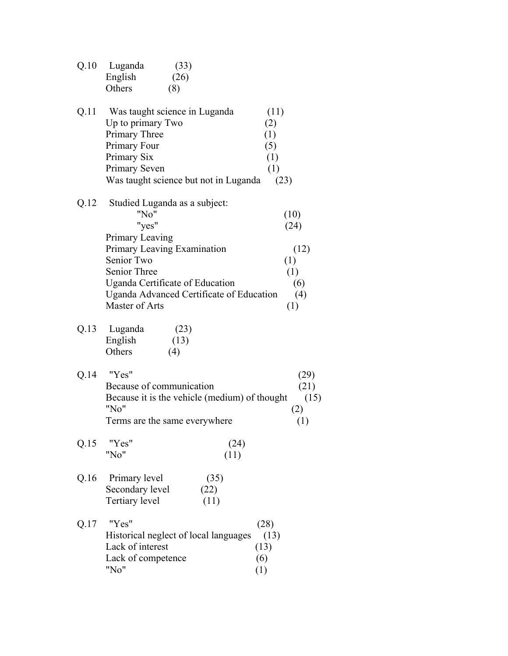| Q.10                                                  | Luganda<br>(33)<br>English<br>(26)                                                        |  |  |
|-------------------------------------------------------|-------------------------------------------------------------------------------------------|--|--|
|                                                       | Others<br>(8)                                                                             |  |  |
|                                                       |                                                                                           |  |  |
| Q.11                                                  | Was taught science in Luganda<br>(11)                                                     |  |  |
|                                                       | Up to primary Two<br>(2)                                                                  |  |  |
|                                                       | Primary Three<br>(1)                                                                      |  |  |
|                                                       | Primary Four<br>(5)                                                                       |  |  |
|                                                       | Primary Six<br>(1)                                                                        |  |  |
|                                                       | Primary Seven<br>(1)                                                                      |  |  |
|                                                       | Was taught science but not in Luganda<br>(23)                                             |  |  |
| Q.12                                                  | Studied Luganda as a subject:                                                             |  |  |
|                                                       | "No"<br>(10)                                                                              |  |  |
|                                                       | "yes"<br>(24)                                                                             |  |  |
|                                                       | Primary Leaving                                                                           |  |  |
|                                                       | Primary Leaving Examination<br>(12)                                                       |  |  |
|                                                       | Senior Two<br>(1)                                                                         |  |  |
|                                                       | Senior Three<br>(1)                                                                       |  |  |
|                                                       | Uganda Certificate of Education<br>(6)<br>Uganda Advanced Certificate of Education<br>(4) |  |  |
|                                                       | Master of Arts<br>(1)                                                                     |  |  |
|                                                       |                                                                                           |  |  |
| Q.13                                                  | Luganda<br>(23)                                                                           |  |  |
|                                                       | English<br>(13)                                                                           |  |  |
|                                                       | Others<br>(4)                                                                             |  |  |
| Q.14                                                  | "Yes"<br>(29)                                                                             |  |  |
|                                                       | (21)<br>Because of communication                                                          |  |  |
| Because it is the vehicle (medium) of thought<br>(15) |                                                                                           |  |  |
|                                                       | "No"<br>(2)                                                                               |  |  |
|                                                       | Terms are the same everywhere<br>(1)                                                      |  |  |
| Q.15                                                  | "Yes"<br>(24)                                                                             |  |  |
|                                                       | "No"<br>(11)                                                                              |  |  |
|                                                       |                                                                                           |  |  |
| Q.16                                                  | Primary level<br>(35)                                                                     |  |  |
|                                                       | Secondary level<br>(22)                                                                   |  |  |
|                                                       | (11)<br><b>Tertiary level</b>                                                             |  |  |
|                                                       | "Yes"<br>(28)                                                                             |  |  |
| Q.17                                                  | Historical neglect of local languages<br>(13)                                             |  |  |
|                                                       | Lack of interest<br>(13)                                                                  |  |  |
|                                                       | (6)<br>Lack of competence                                                                 |  |  |
|                                                       | "No"<br>(1)                                                                               |  |  |
|                                                       |                                                                                           |  |  |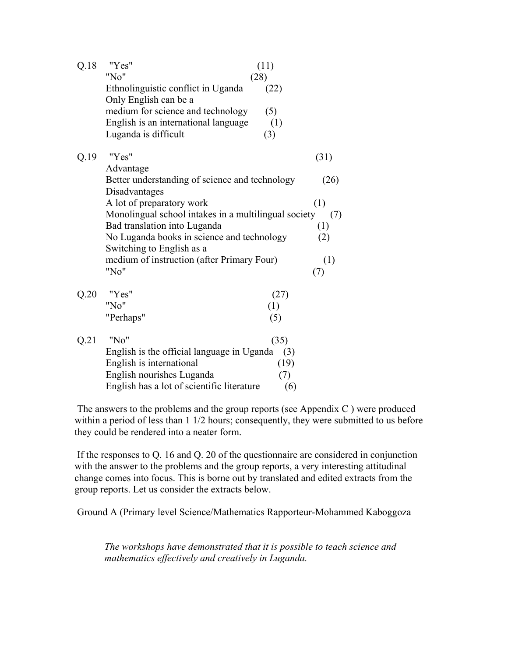| Q.18 | "Yes"                                                                                 | (11) |      |  |  |  |
|------|---------------------------------------------------------------------------------------|------|------|--|--|--|
|      | "No"                                                                                  | (28) |      |  |  |  |
|      | Ethnolinguistic conflict in Uganda                                                    | (22) |      |  |  |  |
|      | Only English can be a                                                                 |      |      |  |  |  |
|      | medium for science and technology                                                     | (5)  |      |  |  |  |
|      | English is an international language                                                  | (1)  |      |  |  |  |
|      | Luganda is difficult                                                                  | (3)  |      |  |  |  |
| Q.19 | "Yes"                                                                                 |      | (31) |  |  |  |
|      | Advantage                                                                             |      |      |  |  |  |
|      | Better understanding of science and technology                                        |      | (26) |  |  |  |
|      | Disadvantages                                                                         |      |      |  |  |  |
|      | A lot of preparatory work                                                             |      | (1)  |  |  |  |
|      | Monolingual school intakes in a multilingual society<br>(7)                           |      |      |  |  |  |
|      | Bad translation into Luganda<br>(1)                                                   |      |      |  |  |  |
|      | No Luganda books in science and technology<br>(2)<br>Switching to English as a<br>(1) |      |      |  |  |  |
|      |                                                                                       |      |      |  |  |  |
|      | medium of instruction (after Primary Four)                                            |      |      |  |  |  |
|      | "No"                                                                                  |      | (7)  |  |  |  |
| Q.20 | "Yes"                                                                                 | (27) |      |  |  |  |
|      | "No"                                                                                  | (1)  |      |  |  |  |
|      | "Perhaps"                                                                             | (5)  |      |  |  |  |
| Q.21 | "No"                                                                                  | (35) |      |  |  |  |
|      | English is the official language in Uganda                                            | (3)  |      |  |  |  |
|      | English is international                                                              | (19) |      |  |  |  |
|      | English nourishes Luganda                                                             | (7)  |      |  |  |  |
|      | English has a lot of scientific literature                                            | (6)  |      |  |  |  |

 The answers to the problems and the group reports (see Appendix C ) were produced within a period of less than 1 1/2 hours; consequently, they were submitted to us before they could be rendered into a neater form.

 If the responses to Q. 16 and Q. 20 of the questionnaire are considered in conjunction with the answer to the problems and the group reports, a very interesting attitudinal change comes into focus. This is borne out by translated and edited extracts from the group reports. Let us consider the extracts below.

Ground A (Primary level Science/Mathematics Rapporteur-Mohammed Kaboggoza

*The workshops have demonstrated that it is possible to teach science and mathematics effectively and creatively in Luganda.*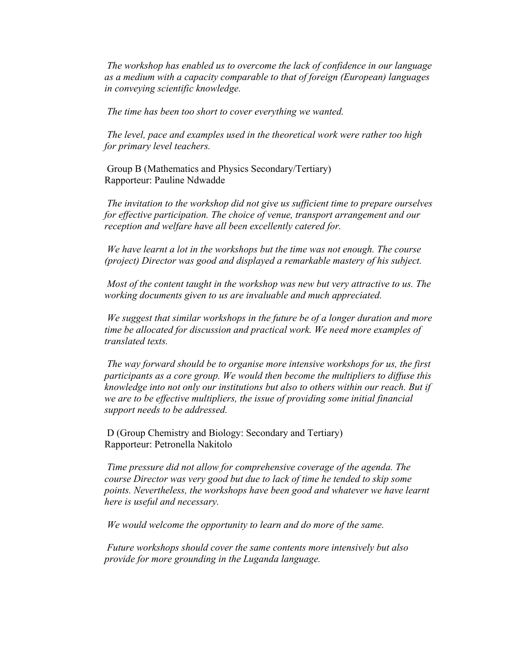*The workshop has enabled us to overcome the lack of confidence in our language as a medium with a capacity comparable to that of foreign (European) languages in conveying scientific knowledge.*

 *The time has been too short to cover everything we wanted.*

 *The level, pace and examples used in the theoretical work were rather too high for primary level teachers.*

 Group B (Mathematics and Physics Secondary/Tertiary) Rapporteur: Pauline Ndwadde

*The invitation to the workshop did not give us sufficient time to prepare ourselves for effective participation. The choice of venue, transport arrangement and our reception and welfare have all been excellently catered for.*

 *We have learnt a lot in the workshops but the time was not enough. The course (project) Director was good and displayed a remarkable mastery of his subject.*

 *Most of the content taught in the workshop was new but very attractive to us. The working documents given to us are invaluable and much appreciated.*

 *We suggest that similar workshops in the future be of a longer duration and more time be allocated for discussion and practical work. We need more examples of translated texts.*

 *The way forward should be to organise more intensive workshops for us, the first participants as a core group. We would then become the multipliers to diffuse this knowledge into not only our institutions but also to others within our reach. But if*  we are to be effective multipliers, the issue of providing some initial financial *support needs to be addressed.*

 D (Group Chemistry and Biology: Secondary and Tertiary) Rapporteur: Petronella Nakitolo

*Time pressure did not allow for comprehensive coverage of the agenda. The course Director was very good but due to lack of time he tended to skip some points. Nevertheless, the workshops have been good and whatever we have learnt here is useful and necessary.*

 *We would welcome the opportunity to learn and do more of the same.*

 *Future workshops should cover the same contents more intensively but also provide for more grounding in the Luganda language.*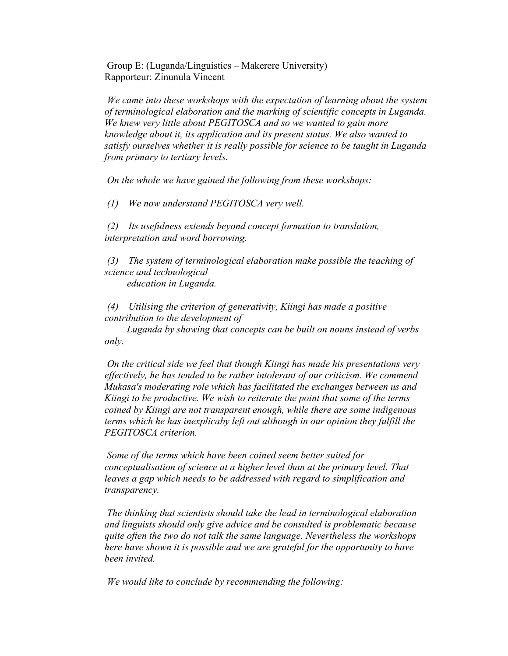Group E: (Luganda/Linguistics – Makerere University) Rapporteur: Zinunula Vincent

*We came into these workshops with the expectation of learning about the system of terminological elaboration and the marking of scientific concepts in Luganda. We knew very little about PEGITOSCA and so we wanted to gain more knowledge about it, its application and its present status. We also wanted to satisfy ourselves whether it is really possible for science to be taught in Luganda from primary to tertiary levels.*

 *On the whole we have gained the following from these workshops:*

 *(1) We now understand PEGITOSCA very well.*

 *(2) Its usefulness extends beyond concept formation to translation, interpretation and word borrowing.*

 *(3) The system of terminological elaboration make possible the teaching of science and technological*

 *education in Luganda.*

 *(4) Utilising the criterion of generativity, Kiingi has made a positive contribution to the development of*

 *Luganda by showing that concepts can be built on nouns instead of verbs only.*

 *On the critical side we feel that though Kiingi has made his presentations very effectively, he has tended to be rather intolerant of our criticism. We commend Mukasa's moderating role which has facilitated the exchanges between us and Kiingi to be productive. We wish to reiterate the point that some of the terms coined by Kiingi are not transparent enough, while there are some indigenous terms which he has inexplicaby left out although in our opinion they fulfill the PEGITOSCA criterion.*

 *Some of the terms which have been coined seem better suited for conceptualisation of science at a higher level than at the primary level. That leaves a gap which needs to be addressed with regard to simplification and transparency.*

 *The thinking that scientists should take the lead in terminological elaboration and linguists should only give advice and be consulted is problematic because quite often the two do not talk the same language. Nevertheless the workshops here have shown it is possible and we are grateful for the opportunity to have been invited.*

 *We would like to conclude by recommending the following:*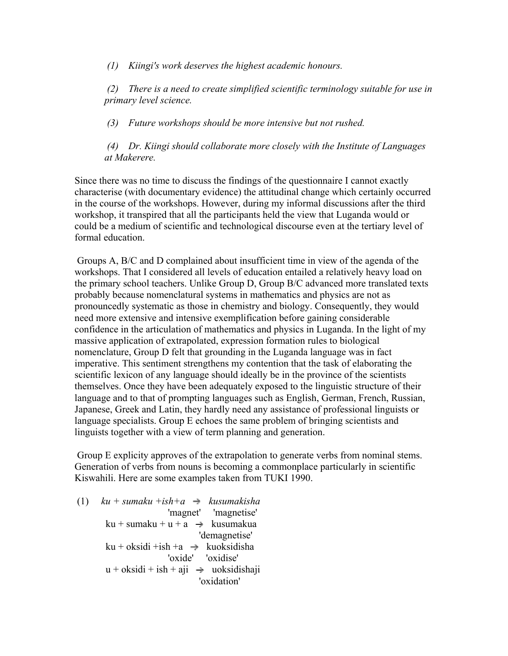*(1) Kiingi's work deserves the highest academic honours.*

 *(2) There is a need to create simplified scientific terminology suitable for use in primary level science.*

 *(3) Future workshops should be more intensive but not rushed.*

 *(4) Dr. Kiingi should collaborate more closely with the Institute of Languages at Makerere.*

Since there was no time to discuss the findings of the questionnaire I cannot exactly characterise (with documentary evidence) the attitudinal change which certainly occurred in the course of the workshops. However, during my informal discussions after the third workshop, it transpired that all the participants held the view that Luganda would or could be a medium of scientific and technological discourse even at the tertiary level of formal education.

 Groups A, B/C and D complained about insufficient time in view of the agenda of the workshops. That I considered all levels of education entailed a relatively heavy load on the primary school teachers. Unlike Group D, Group B/C advanced more translated texts probably because nomenclatural systems in mathematics and physics are not as pronouncedly systematic as those in chemistry and biology. Consequently, they would need more extensive and intensive exemplification before gaining considerable confidence in the articulation of mathematics and physics in Luganda. In the light of my massive application of extrapolated, expression formation rules to biological nomenclature, Group D felt that grounding in the Luganda language was in fact imperative. This sentiment strengthens my contention that the task of elaborating the scientific lexicon of any language should ideally be in the province of the scientists themselves. Once they have been adequately exposed to the linguistic structure of their language and to that of prompting languages such as English, German, French, Russian, Japanese, Greek and Latin, they hardly need any assistance of professional linguists or language specialists. Group E echoes the same problem of bringing scientists and linguists together with a view of term planning and generation.

 Group E explicity approves of the extrapolation to generate verbs from nominal stems. Generation of verbs from nouns is becoming a commonplace particularly in scientific Kiswahili. Here are some examples taken from TUKI 1990.

 $(1)$  *ku* + *sumaku* +*ish* + *a*  $\rightarrow$  *kusumakisha* 'magnet' 'magnetise'  $ku + sumaku + u + a \rightarrow kusumakua$ 'demagnetise' ku + oksidi +ish +a  $\rightarrow$  kuoksidisha 'oxide' 'oxidise'  $u + oksidi + ish + aji \rightarrow uoksidishaji$ 'oxidation'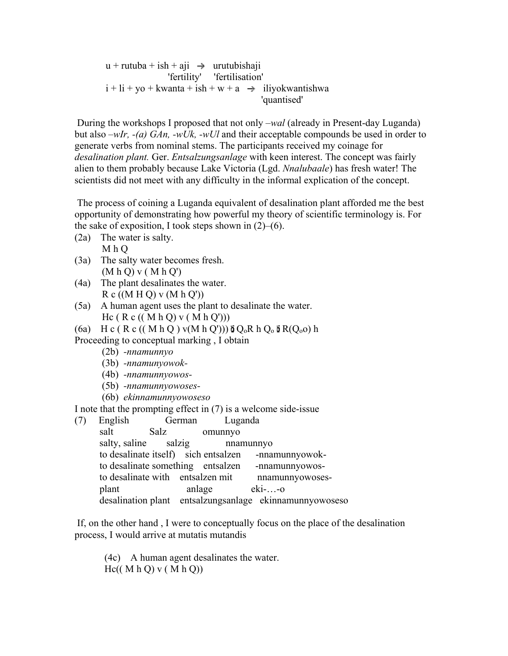$u +$ rutuba + ish + aji  $\rightarrow$  urutubishaji 'fertility' 'fertilisation'  $i + li + yo + kwanta + ish + w + a \rightarrow iliyokwantishwa$ 'quantised'

 During the workshops I proposed that not only *–wal* (already in Present-day Luganda) but also *–wIr, -(a) GAn, -wUk, -wUl* and their acceptable compounds be used in order to generate verbs from nominal stems. The participants received my coinage for *desalination plant.* Ger. *Entsalzungsanlage* with keen interest. The concept was fairly alien to them probably because Lake Victoria (Lgd. *Nnalubaale*) has fresh water! The scientists did not meet with any difficulty in the informal explication of the concept.

 The process of coining a Luganda equivalent of desalination plant afforded me the best opportunity of demonstrating how powerful my theory of scientific terminology is. For the sake of exposition, I took steps shown in  $(2)$ – $(6)$ .

- (2a) The water is salty. M h Q
- (3a) The salty water becomes fresh.  $(M h Q) v (M h Q')$
- (4a) The plant desalinates the water.  $R c ((M H Q) v (M h Q'))$
- (5a) A human agent uses the plant to desalinate the water. Hc ( R c (( M h Q) v ( M h Q')))

(6a) H c ( R c (( M h Q ) v(M h Q')))  $\delta Q_0R$  h  $Q_0 \delta R(Q_0Q)$  h

Proceeding to conceptual marking , I obtain

- (2b) *-nnamunnyo*
- (3b) *-nnamunyowok-*
- (4b) *-nnamunnyowos-*
- (5b) *-nnamunnyowoses-*
- (6b) *ekinnamunnyowoseso*

I note that the prompting effect in (7) is a welcome side-issue

(7) English German Luganda salt Salz omunnyo salty, saline salzig nnamunnyo to desalinate itself) sich entsalzen -nnamunnyowok to desalinate something entsalzen -nnamunnyowos to desalinate with entsalzen mit nnamunnyowoses plant anlage eki-…-o desalination plant entsalzungsanlage ekinnamunnyowoseso

 If, on the other hand , I were to conceptually focus on the place of the desalination process, I would arrive at mutatis mutandis

(4c) A human agent desalinates the water.  $Hc((M h Q) v (M h Q))$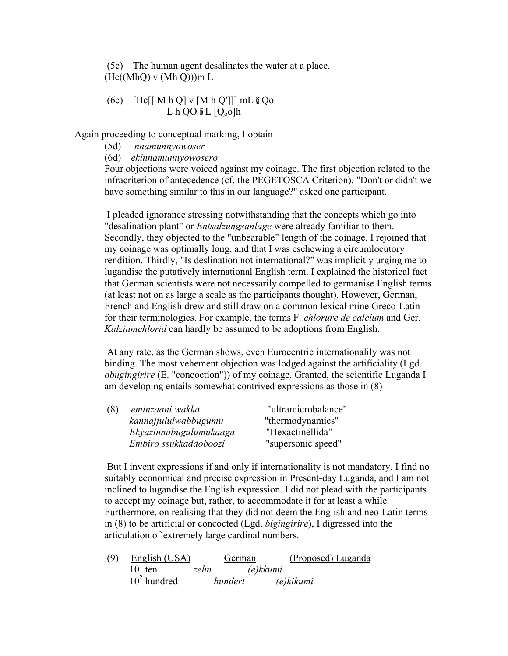(5c) The human agent desalinates the water at a place.  $(Hc((MhQ) v (Mh Q)))$ m L

(6c)  $[He[[M h Q] v [M h Q']]] mL \delta Qo$ L h QO  $L$  [Q<sub>o</sub>o]h

Again proceeding to conceptual marking, I obtain

(5d) *-nnamunnyowoser-*

(6d) *ekinnamunnyowosero*

Four objections were voiced against my coinage. The first objection related to the infracriterion of antecedence (cf. the PEGETOSCA Criterion). "Don't or didn't we have something similar to this in our language?" asked one participant.

 I pleaded ignorance stressing notwithstanding that the concepts which go into "desalination plant" or *Entsalzungsanlage* were already familiar to them. Secondly, they objected to the "unbearable" length of the coinage. I rejoined that my coinage was optimally long, and that I was eschewing a circumlocutory rendition. Thirdly, "Is deslination not international?" was implicitly urging me to lugandise the putatively international English term. I explained the historical fact that German scientists were not necessarily compelled to germanise English terms (at least not on as large a scale as the participants thought). However, German, French and English drew and still draw on a common lexical mine Greco-Latin for their terminologies. For example, the terms F. *chlorure de calcium* and Ger. *Kalziumchlorid* can hardly be assumed to be adoptions from English.

 At any rate, as the German shows, even Eurocentric internationalily was not binding. The most vehement objection was lodged against the artificiality (Lgd. *obugingirire* (E. "concoction")) of my coinage. Granted, the scientific Luganda I am developing entails somewhat contrived expressions as those in (8)

| (8) | eminzaani wakka        | "ultramicrobalance" |
|-----|------------------------|---------------------|
|     | kannajjululwabbugumu   | "thermodynamics"    |
|     | Ekyazinnabugulumukaaga | "Hexactinellida"    |
|     | Embiro ssukkaddoboozi  | "supersonic speed"  |

 But I invent expressions if and only if internationality is not mandatory, I find no suitably economical and precise expression in Present-day Luganda, and I am not inclined to lugandise the English expression. I did not plead with the participants to accept my coinage but, rather, to accommodate it for at least a while. Furthermore, on realising that they did not deem the English and neo-Latin terms in (8) to be artificial or concocted (Lgd. *bigingirire*), I digressed into the articulation of extremely large cardinal numbers.

| (9) | English (USA) |      | German  |          | (Proposed) Luganda |
|-----|---------------|------|---------|----------|--------------------|
|     | $101$ ten     | zehn |         | (e)kkumi |                    |
|     | $102$ hundred |      | hundert |          | (e)kikumi          |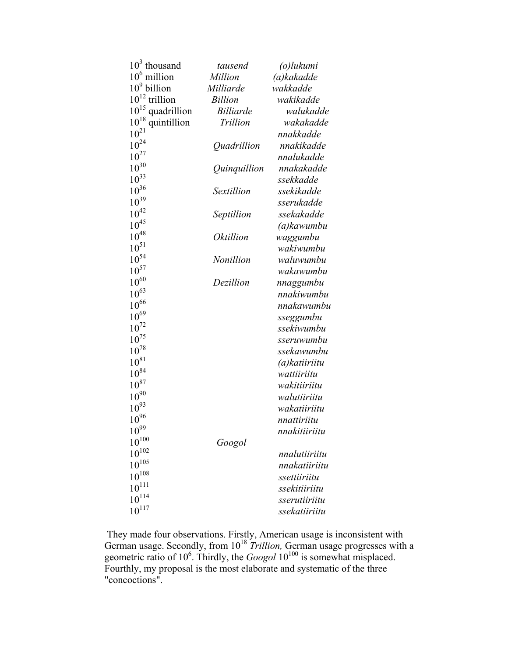| $103$ thousand        | tausend                 | (o)lukumi     |
|-----------------------|-------------------------|---------------|
| $106$ million         | Million                 | (a)kakadde    |
| $10^9$ billion        | Milliarde               | wakkadde      |
| $10^{12}$ trillion    | <b>Billion</b>          | wakikadde     |
| $10^{15}$ quadrillion | <b>Billiarde</b>        | walukadde     |
| $10^{18}$ quintillion | Trillion                | wakakadde     |
| $10^{21}$             |                         | nnakkadde     |
| $10^{24}$             | Quadrillion             | nnakikadde    |
| $10^{27}$             |                         | nnalukadde    |
| $10^{30}$             | Quinquillion            | nnakakadde    |
| $10^{33}$             |                         | ssekkadde     |
| $10^{36}$             | Sextillion              | ssekikadde    |
| $10^{39}$             |                         | sserukadde    |
| $10^{42}$             | Septillion              | ssekakadde    |
| $10^{45}$             |                         | (a)kawumbu    |
| $10^{48}$             | <i><b>Oktillion</b></i> | waggumbu      |
| $10^{51}$             |                         | wakiwumbu     |
| $10^{54}$             | Nonillion               | waluwumbu     |
| $10^{57}$             |                         | wakawumbu     |
| $10^{60}$             | Dezillion               | nnaggumbu     |
| $10^{63}$             |                         | nnakiwumbu    |
| $10^{66}$             |                         | nnakawumbu    |
| $10^{69}$             |                         | sseggumbu     |
| $10^{72}$             |                         | ssekiwumbu    |
| $10^{75}$             |                         | sseruwumbu    |
| $10^{78}\,$           |                         | ssekawumbu    |
| $10^{81}$             |                         | (a)katiiriitu |
| $10^{84}$             |                         | wattiiriitu   |
| $10^{87}$             |                         | wakitiiriitu  |
| $10^{90}$             |                         | walutiiriitu  |
| $10^{93}$             |                         | wakatiiriitu  |
| $10^{96}$             |                         | nnattiriitu   |
| $10^{99}$             |                         | nnakitiiriitu |
| $10^{100}$            | Googol                  |               |
| $10^{102}$            |                         | nnalutiiriitu |
| $10^{105}$            |                         | nnakatiiriitu |
| $10^{108}$            |                         | ssettiiriitu  |
| $10^{111}$            |                         | ssekitiiriitu |
| $10^{114}$            |                         | sserutiiriitu |
| $10^{117}$            |                         | ssekatiiriitu |

 They made four observations. Firstly, American usage is inconsistent with German usage. Secondly, from 10<sup>18</sup> Trillion, German usage progresses with a geometric ratio of 10<sup>6</sup>. Thirdly, the *Googol* 10<sup>100</sup> is somewhat misplaced. Fourthly, my proposal is the most elaborate and systematic of the three "concoctions".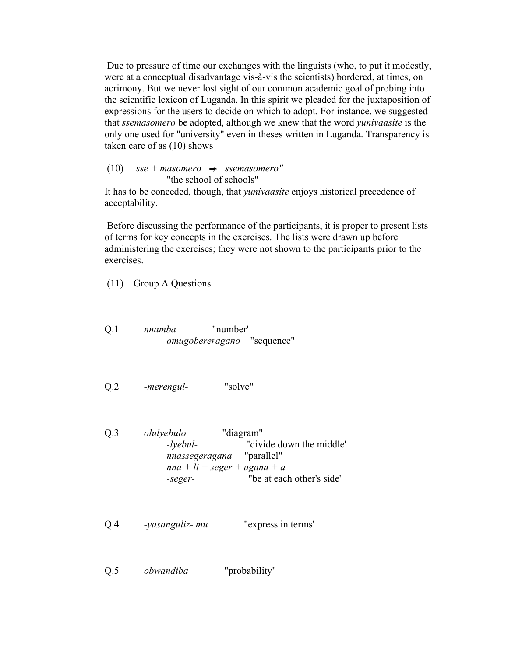Due to pressure of time our exchanges with the linguists (who, to put it modestly, were at a conceptual disadvantage vis-à-vis the scientists) bordered, at times, on acrimony. But we never lost sight of our common academic goal of probing into the scientific lexicon of Luganda. In this spirit we pleaded for the juxtaposition of expressions for the users to decide on which to adopt. For instance, we suggested that *ssemasomero* be adopted, although we knew that the word *yunivaasite* is the only one used for "university" even in theses written in Luganda. Transparency is taken care of as (10) shows

## $(10)$  *sse + masomero*  $\rightarrow$  *ssemasomero*" "the school of schools"

It has to be conceded, though, that *yunivaasite* enjoys historical precedence of acceptability.

 Before discussing the performance of the participants, it is proper to present lists of terms for key concepts in the exercises. The lists were drawn up before administering the exercises; they were not shown to the participants prior to the exercises.

(11) Group A Questions

- Q.1 *nnamba* "number' *omugobereragano* "sequence"
- Q.2 *-merengul-* "solve"
- Q.3 *olulyebulo* "diagram" *-lyebul-* "divide down the middle' *nnassegeragana* "parallel" *nna + li + seger + agana + a -seger-* "be at each other's side'
- Q.4 *-yasanguliz- mu* "express in terms'
- Q.5 *obwandiba* "probability"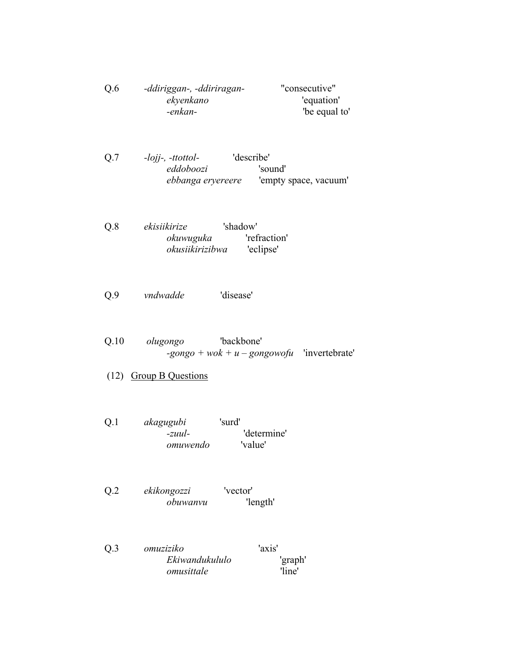| Q.6  | -ddiriggan-, -ddiriragan-<br>"consecutive"<br>ekyenkano<br>'equation'<br>-enkan-<br>'be equal to'         |
|------|-----------------------------------------------------------------------------------------------------------|
| Q.7  | 'describe'<br>-lojj-, -ttottol-<br>eddoboozi<br>'sound'<br><i>ebbanga eryereere</i> 'empty space, vacuum' |
| Q.8  | 'shadow'<br>ekisiikirize<br>okuwuguka<br>'refraction'<br>okusiikirizibwa 'eclipse'                        |
| Q.9  | 'disease'<br>vndwadde                                                                                     |
| Q.10 | 'backbone'<br>olugongo<br>-gongo + wok + $u$ – gongowofu 'invertebrate'                                   |
|      | (12) Group B Questions                                                                                    |
| Q.1  | 'surd'<br>akagugubi<br>$-z$ <i>uul</i><br>'determine'<br>'value'<br>omuwendo                              |
| Q.2  | 'vector'<br>ekikongozzi<br>obuwanvu<br>'length'                                                           |
| Q.3  | 'axis'<br>omuziziko<br>Ekiwandukululo<br>'graph'<br>'line'<br>omusittale                                  |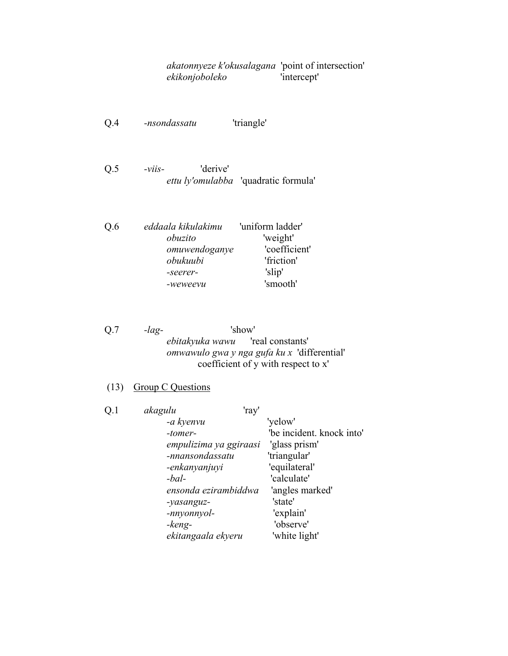*akatonnyeze k'okusalagana* 'point of intersection' *ekikonjoboleko* 'intercept'

- Q.4 *-nsondassatu* 'triangle' Q.5 *-viis-* 'derive' *ettu ly'omulabba* 'quadratic formula' Q.6 *eddaala kikulakimu* 'uniform ladder' *obuzito* 'weight' *omuwendoganye* 'coefficient' *obukuubi* 'friction' *-seerer-* 'slip' *-weweevu* 'smooth'
- Q.7 *-lag-* 'show' *ebitakyuka wawu* 'real constants' *omwawulo gwa y nga gufa ku x* 'differential' coefficient of y with respect to x'

## (13) Group C Questions

| Q.1 | akagulu                | 'ray'                     |
|-----|------------------------|---------------------------|
|     | -a kyenvu              | 'yelow'                   |
|     | -tomer-                | 'be incident. knock into' |
|     | empulizima ya ggiraasi | 'glass prism'             |
|     | -nnansondassatu        | 'triangular'              |
|     | -enkanyanjuyi          | 'equilateral'             |
|     | $-bal$                 | 'calculate'               |
|     | ensonda ezirambiddwa   | 'angles marked'           |
|     | -yasanguz-             | 'state'                   |
|     | -nnyonnyol-            | 'explain'                 |
|     | -keng-                 | 'observe'                 |
|     | ekitangaala ekyeru     | 'white light'             |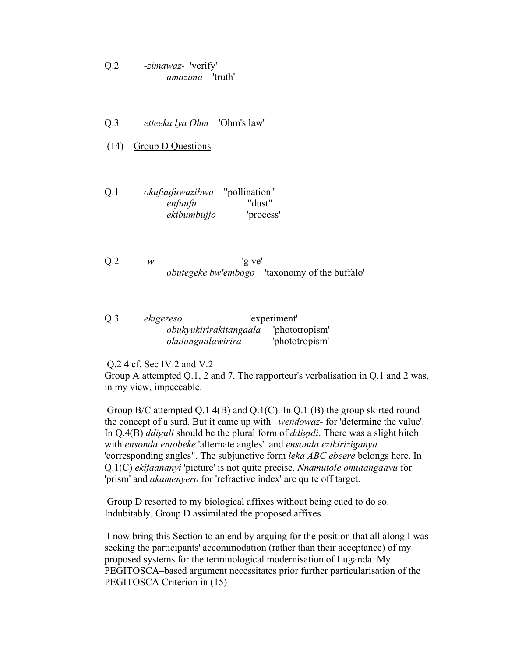| Q <sub>2</sub> | -zimawaz- 'verify'     |  |
|----------------|------------------------|--|
|                | <i>amazima</i> 'truth' |  |

- Q.3 *etteeka lya Ohm* 'Ohm's law'
- (14) Group D Questions
- Q.1 *okufuufuwazibwa* "pollination" *enfuufu* "dust" *ekibumbujjo* 'process'
- Q.2 *-w-* 'give' *obutegeke bw'embogo* 'taxonomy of the buffalo'
- Q.3 *ekigezeso* 'experiment' *obukyukirirakitangaala* 'phototropism' *okutangaalawirira* 'phototropism'

Q.2 4 cf. Sec IV.2 and V.2

Group A attempted Q.1, 2 and 7. The rapporteur's verbalisation in Q.1 and 2 was, in my view, impeccable.

 Group B/C attempted Q.1 4(B) and Q.1(C). In Q.1 (B) the group skirted round the concept of a surd. But it came up with *–wendowaz-* for 'determine the value'. In Q.4(B) *ddiguli* should be the plural form of *ddiguli*. There was a slight hitch with *ensonda entobeke* 'alternate angles'. and *ensonda ezikiriziganya* 'corresponding angles". The subjunctive form *leka ABC ebeere* belongs here. In Q.1(C) *ekifaananyi* 'picture' is not quite precise. *Nnamutole omutangaavu* for 'prism' and *akamenyero* for 'refractive index' are quite off target.

 Group D resorted to my biological affixes without being cued to do so. Indubitably, Group D assimilated the proposed affixes.

 I now bring this Section to an end by arguing for the position that all along I was seeking the participants' accommodation (rather than their acceptance) of my proposed systems for the terminological modernisation of Luganda. My PEGITOSCA–based argument necessitates prior further particularisation of the PEGITOSCA Criterion in (15)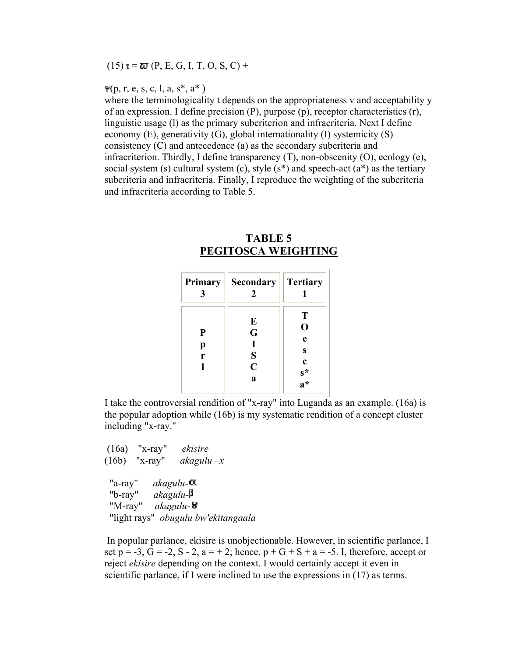### $(15) \tau = \overline{\omega}$  (P, E, G, I, T, O, S, C) +

## $\P(\mathbf{p}, \mathbf{r}, \mathbf{e}, \mathbf{s}, \mathbf{c}, \mathbf{l}, \mathbf{a}, \mathbf{s}^*, \mathbf{a}^*)$

where the terminologicality t depends on the appropriateness v and acceptability y of an expression. I define precision (P), purpose (p), receptor characteristics (r), linguistic usage (l) as the primary subcriterion and infracriteria. Next I define economy (E), generativity (G), global internationality (I) systemicity (S) consistency (C) and antecedence (a) as the secondary subcriteria and infracriterion. Thirdly, I define transparency (T), non-obscenity (O), ecology (e), social system (s) cultural system (c), style  $(s^*)$  and speech-act  $(a^*)$  as the tertiary subcriteria and infracriteria. Finally, I reproduce the weighting of the subcriteria and infracriteria according to Table 5.

**TABLE 5** 

#### **PEGITOSCA WEIGHTING Primary 3 Secondary 2 Tertiary 1 P p r l E G I S C a T O e s c s\* a\***

I take the controversial rendition of "x-ray" into Luganda as an example. (16a) is the popular adoption while (16b) is my systematic rendition of a concept cluster including "x-ray."

 (16a) "x-ray" *ekisire* (16b) "x-ray" *akagulu –x* "a-ray" *akagulu-* "b-ray" *akagulu-* "M-ray" *akagulu-* "light rays" *obugulu bw'ekitangaala*

 In popular parlance, ekisire is unobjectionable. However, in scientific parlance, I set  $p = -3$ ,  $G = -2$ ,  $S - 2$ ,  $a = +2$ ; hence,  $p + G + S + a = -5$ . I, therefore, accept or reject *ekisire* depending on the context. I would certainly accept it even in scientific parlance, if I were inclined to use the expressions in (17) as terms.